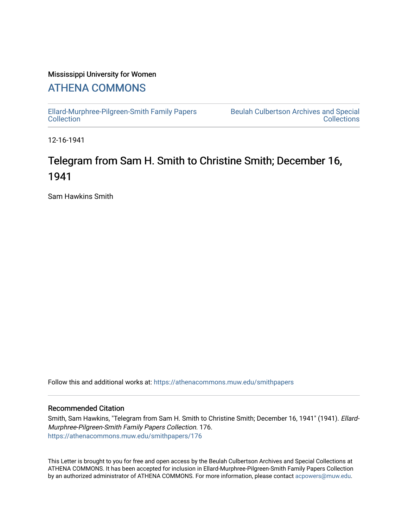### Mississippi University for Women

## [ATHENA COMMONS](https://athenacommons.muw.edu/)

[Ellard-Murphree-Pilgreen-Smith Family Papers](https://athenacommons.muw.edu/smithpapers) [Collection](https://athenacommons.muw.edu/smithpapers) 

[Beulah Culbertson Archives and Special](https://athenacommons.muw.edu/archives)  [Collections](https://athenacommons.muw.edu/archives) 

12-16-1941

# Telegram from Sam H. Smith to Christine Smith; December 16, 1941

Sam Hawkins Smith

Follow this and additional works at: [https://athenacommons.muw.edu/smithpapers](https://athenacommons.muw.edu/smithpapers?utm_source=athenacommons.muw.edu%2Fsmithpapers%2F176&utm_medium=PDF&utm_campaign=PDFCoverPages)

#### Recommended Citation

Smith, Sam Hawkins, "Telegram from Sam H. Smith to Christine Smith; December 16, 1941" (1941). Ellard-Murphree-Pilgreen-Smith Family Papers Collection. 176. [https://athenacommons.muw.edu/smithpapers/176](https://athenacommons.muw.edu/smithpapers/176?utm_source=athenacommons.muw.edu%2Fsmithpapers%2F176&utm_medium=PDF&utm_campaign=PDFCoverPages)

This Letter is brought to you for free and open access by the Beulah Culbertson Archives and Special Collections at ATHENA COMMONS. It has been accepted for inclusion in Ellard-Murphree-Pilgreen-Smith Family Papers Collection by an authorized administrator of ATHENA COMMONS. For more information, please contact [acpowers@muw.edu.](mailto:acpowers@muw.edu)